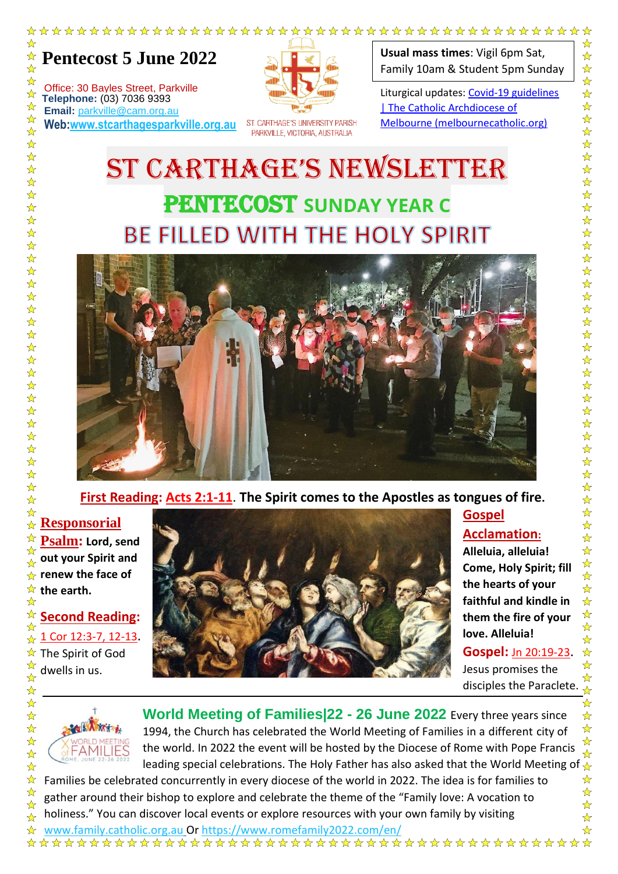

Office: 30 Bayles Street, Parkville **The Telephone:** (03) 7036 9393<br> **Email:** parkylle@cam.org **Email:** parkville@cam.org.au **Web:www.stcarthagesparkville.org.au**

☆

 $\frac{1}{\sqrt{2}}$ 

 $\frac{1}{\sqrt{2}}$ 

 $\frac{1}{\sqrt{2}}$ 

 $\frac{1}{\sqrt{2}}$ 

 $\frac{1}{\sqrt{2}}$  $\frac{1}{\sqrt{2}}$ 

 $\frac{1}{\sqrt{2}}$  $\frac{1}{2}$ 

 $\frac{1}{\sqrt{2}}$ 

 $\frac{\lambda}{\lambda}$ 

 $\frac{1}{\sqrt{2}}$  $\frac{1}{\sqrt{2}}$ 

 $\frac{1}{\sqrt{2}}$ 

 $\frac{1}{\sqrt{2}}$  $\frac{1}{\sqrt{2}}$ 

 $\frac{1}{\sqrt{2}}$ 

 $\frac{1}{\sqrt{2}}$ 

 $\frac{1}{\sqrt{2}}$ 

 $\frac{1}{2}$ 

 $\frac{1}{\sqrt{2}}$ 

24 24

琴琴琴

 $\frac{1}{\sqrt{2}}$ 

 $\frac{1}{\mathbf{k}}$ 

 $\frac{1}{\sqrt{2}}$ 

 $\frac{1}{\sqrt{2}}$  $\frac{\lambda}{\lambda}$ 

 $\frac{1}{\sqrt{2}}$ 

 $\frac{1}{\sqrt{2}}$ 

 $\frac{1}{\sqrt{2}}$ 

 $\frac{1}{\sqrt{2}}$ 

 $\frac{1}{\sqrt{2}}$ 

☆

 $\frac{1}{\sqrt{2}}$ 

 $\frac{1}{\sqrt{2}}$ 

 $\frac{1}{\sqrt{2}}$ 

☆

☆ ☆



ST. CARTHAGE'S UNIVERSITY PARISH PARKVILLE, VICTORIA, AUSTRALIA

**Usual mass times**: Vigil 6pm Sat, Family 10am & Student 5pm Sunday

 $\ddot{\phantom{0}}$ 

Liturgical updates: Covid-19 guidelines | The Catholic Archdiocese of Melbourne (melbournecatholic.org)

## ST CARTHAGE'S NEWSLETTER PENTECOST **SUNDAY YEAR C BE FILLED WITH THE HOLY SPIRIT**



**First Reading: Acts 2:1-11**. **The Spirit comes to the Apostles as tongues of fire.** 

## ☆ **Responsorial**  ☆

☆ **Psalm: Lord, send**  ☆ **out your Spirit and**   $\frac{1}{2}$ **renew the face of**  ☆ ☆ **the earth.**   $\frac{\lambda}{\lambda}$ 

☆ **Second Reading:**  $\frac{1}{2}$ 1 Cor 12:3-7, 12-13. ☆ ☆ The Spirit of God dwells in us.  ☆  $\frac{1}{\sqrt{2}}$ 



## **Gospel Acclamation:**

**Alleluia, alleluia! Come, Holy Spirit; fill the hearts of your faithful and kindle in them the fire of your love. Alleluia!** 

**Gospel:** Jn 20:19-23. Jesus promises the disciples the Paraclete.



**World Meeting of Families|22 - 26 June 2022** Every three years since 1994, the Church has celebrated the World Meeting of Families in a different city of the world. In 2022 the event will be hosted by the Diocese of Rome with Pope Francis leading special celebrations. The Holy Father has also asked that the World Meeting of

Families be celebrated concurrently in every diocese of the world in 2022. The idea is for families to gather around their bishop to explore and celebrate the theme of the "Family love: A vocation to holiness." You can discover local events or explore resources with your own family by visiting

 $\frac{1}{\mathcal{N}}$ 

 $\frac{1}{\mathbf{k}^{\prime}}$ ⅍